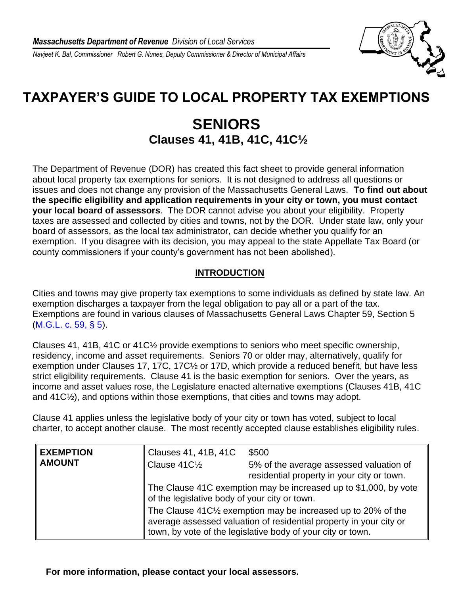*Navjeet K. Bal, Commissioner Robert G. Nunes, Deputy Commissioner & Director of Municipal Affairs*

## **TAXPAYER'S GUIDE TO LOCAL PROPERTY TAX EXEMPTIONS**

## **SENIORS Clauses 41, 41B, 41C, 41C½**

The Department of Revenue (DOR) has created this fact sheet to provide general information about local property tax exemptions for seniors. It is not designed to address all questions or issues and does not change any provision of the Massachusetts General Laws. **To find out about the specific eligibility and application requirements in your city or town, you must contact your local board of assessors**. The DOR cannot advise you about your eligibility. Property taxes are assessed and collected by cities and towns, not by the DOR. Under state law, only your board of assessors, as the local tax administrator, can decide whether you qualify for an exemption. If you disagree with its decision, you may appeal to the state Appellate Tax Board (or county commissioners if your county's government has not been abolished).

## **INTRODUCTION**

Cities and towns may give property tax exemptions to some individuals as defined by state law. An exemption discharges a taxpayer from the legal obligation to pay all or a part of the tax. Exemptions are found in various clauses of Massachusetts General Laws Chapter 59, Section 5 [\(M.G.L. c. 59, § 5\)](http://www.malegislature.gov/Laws/GeneralLaws/PartI/TitleIX/Chapter59/Section5).

Clauses 41, 41B, 41C or 41C½ provide exemptions to seniors who meet specific ownership, residency, income and asset requirements. Seniors 70 or older may, alternatively, qualify for exemption under Clauses 17, 17C, 17C½ or 17D, which provide a reduced benefit, but have less strict eligibility requirements. Clause 41 is the basic exemption for seniors. Over the years, as income and asset values rose, the Legislature enacted alternative exemptions (Clauses 41B, 41C and 41C½), and options within those exemptions, that cities and towns may adopt.

Clause 41 applies unless the legislative body of your city or town has voted, subject to local charter, to accept another clause. The most recently accepted clause establishes eligibility rules.

| <b>EXEMPTION</b><br><b>AMOUNT</b> | Clauses 41, 41B, 41C<br>Clause 41C1/2                                                                             | \$500<br>5% of the average assessed valuation of<br>residential property in your city or town.                                                                                                                              |
|-----------------------------------|-------------------------------------------------------------------------------------------------------------------|-----------------------------------------------------------------------------------------------------------------------------------------------------------------------------------------------------------------------------|
|                                   | The Clause 41C exemption may be increased up to \$1,000, by vote<br>of the legislative body of your city or town. |                                                                                                                                                                                                                             |
|                                   |                                                                                                                   | The Clause 41C <sup>1</sup> / <sub>2</sub> exemption may be increased up to 20% of the<br>average assessed valuation of residential property in your city or<br>town, by vote of the legislative body of your city or town. |

**For more information, please contact your local assessors.**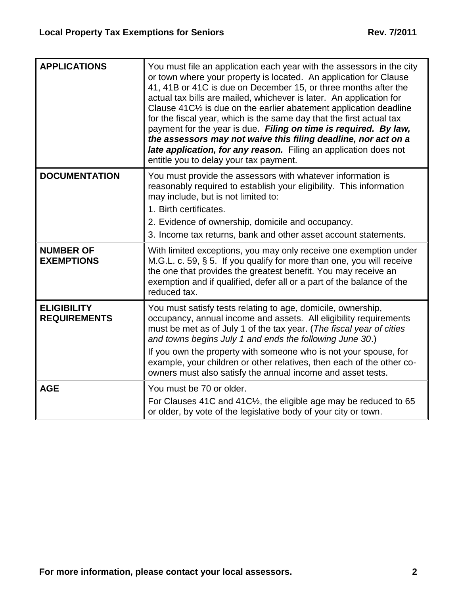| <b>APPLICATIONS</b>                       | You must file an application each year with the assessors in the city<br>or town where your property is located. An application for Clause<br>41, 41B or 41C is due on December 15, or three months after the<br>actual tax bills are mailed, whichever is later. An application for<br>Clause 41C <sup>1/2</sup> is due on the earlier abatement application deadline<br>for the fiscal year, which is the same day that the first actual tax<br>payment for the year is due. Filing on time is required. By law,<br>the assessors may not waive this filing deadline, nor act on a<br>late application, for any reason. Filing an application does not<br>entitle you to delay your tax payment. |
|-------------------------------------------|----------------------------------------------------------------------------------------------------------------------------------------------------------------------------------------------------------------------------------------------------------------------------------------------------------------------------------------------------------------------------------------------------------------------------------------------------------------------------------------------------------------------------------------------------------------------------------------------------------------------------------------------------------------------------------------------------|
| <b>DOCUMENTATION</b>                      | You must provide the assessors with whatever information is<br>reasonably required to establish your eligibility. This information<br>may include, but is not limited to:<br>1. Birth certificates.<br>2. Evidence of ownership, domicile and occupancy.                                                                                                                                                                                                                                                                                                                                                                                                                                           |
|                                           | 3. Income tax returns, bank and other asset account statements.                                                                                                                                                                                                                                                                                                                                                                                                                                                                                                                                                                                                                                    |
| <b>NUMBER OF</b><br><b>EXEMPTIONS</b>     | With limited exceptions, you may only receive one exemption under<br>M.G.L. c. 59, $\S$ 5. If you qualify for more than one, you will receive<br>the one that provides the greatest benefit. You may receive an<br>exemption and if qualified, defer all or a part of the balance of the<br>reduced tax.                                                                                                                                                                                                                                                                                                                                                                                           |
| <b>ELIGIBILITY</b><br><b>REQUIREMENTS</b> | You must satisfy tests relating to age, domicile, ownership,<br>occupancy, annual income and assets. All eligibility requirements<br>must be met as of July 1 of the tax year. (The fiscal year of cities<br>and towns begins July 1 and ends the following June 30.)<br>If you own the property with someone who is not your spouse, for<br>example, your children or other relatives, then each of the other co-<br>owners must also satisfy the annual income and asset tests.                                                                                                                                                                                                                  |
| <b>AGE</b>                                | You must be 70 or older.<br>For Clauses 41C and 41C <sup>1</sup> / <sub>2</sub> , the eligible age may be reduced to 65<br>or older, by vote of the legislative body of your city or town.                                                                                                                                                                                                                                                                                                                                                                                                                                                                                                         |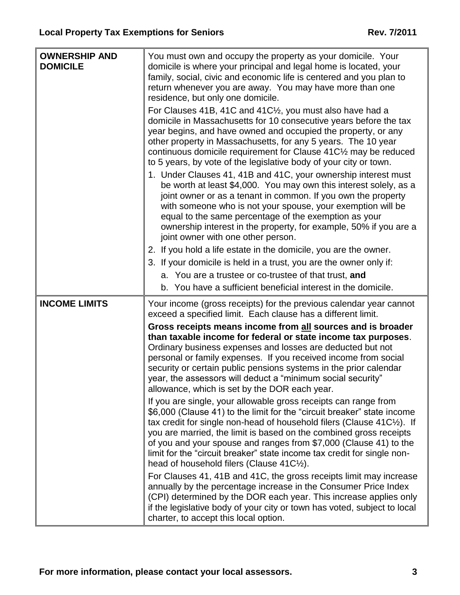| <b>OWNERSHIP AND</b><br><b>DOMICILE</b> | You must own and occupy the property as your domicile. Your<br>domicile is where your principal and legal home is located, your<br>family, social, civic and economic life is centered and you plan to<br>return whenever you are away. You may have more than one<br>residence, but only one domicile.<br>For Clauses 41B, 41C and 41C1/ <sub>2</sub> , you must also have had a                                                                                                                  |
|-----------------------------------------|----------------------------------------------------------------------------------------------------------------------------------------------------------------------------------------------------------------------------------------------------------------------------------------------------------------------------------------------------------------------------------------------------------------------------------------------------------------------------------------------------|
|                                         | domicile in Massachusetts for 10 consecutive years before the tax<br>year begins, and have owned and occupied the property, or any<br>other property in Massachusetts, for any 5 years. The 10 year<br>continuous domicile requirement for Clause 41C1/2 may be reduced<br>to 5 years, by vote of the legislative body of your city or town.<br>1. Under Clauses 41, 41B and 41C, your ownership interest must                                                                                     |
|                                         | be worth at least \$4,000. You may own this interest solely, as a<br>joint owner or as a tenant in common. If you own the property<br>with someone who is not your spouse, your exemption will be<br>equal to the same percentage of the exemption as your<br>ownership interest in the property, for example, 50% if you are a<br>joint owner with one other person.                                                                                                                              |
|                                         | 2. If you hold a life estate in the domicile, you are the owner.                                                                                                                                                                                                                                                                                                                                                                                                                                   |
|                                         | 3. If your domicile is held in a trust, you are the owner only if:                                                                                                                                                                                                                                                                                                                                                                                                                                 |
|                                         | a. You are a trustee or co-trustee of that trust, and                                                                                                                                                                                                                                                                                                                                                                                                                                              |
|                                         | b. You have a sufficient beneficial interest in the domicile.                                                                                                                                                                                                                                                                                                                                                                                                                                      |
| <b>INCOME LIMITS</b>                    | Your income (gross receipts) for the previous calendar year cannot<br>exceed a specified limit. Each clause has a different limit.                                                                                                                                                                                                                                                                                                                                                                 |
|                                         | Gross receipts means income from all sources and is broader<br>than taxable income for federal or state income tax purposes.<br>Ordinary business expenses and losses are deducted but not<br>personal or family expenses. If you received income from social<br>security or certain public pensions systems in the prior calendar<br>year, the assessors will deduct a "minimum social security"<br>allowance, which is set by the DOR each year.                                                 |
|                                         | If you are single, your allowable gross receipts can range from<br>\$6,000 (Clause 41) to the limit for the "circuit breaker" state income<br>tax credit for single non-head of household filers (Clause $41C\frac{1}{2}$ ). If<br>you are married, the limit is based on the combined gross receipts<br>of you and your spouse and ranges from \$7,000 (Clause 41) to the<br>limit for the "circuit breaker" state income tax credit for single non-<br>head of household filers (Clause 41C1/2). |
|                                         | For Clauses 41, 41B and 41C, the gross receipts limit may increase<br>annually by the percentage increase in the Consumer Price Index<br>(CPI) determined by the DOR each year. This increase applies only<br>if the legislative body of your city or town has voted, subject to local<br>charter, to accept this local option.                                                                                                                                                                    |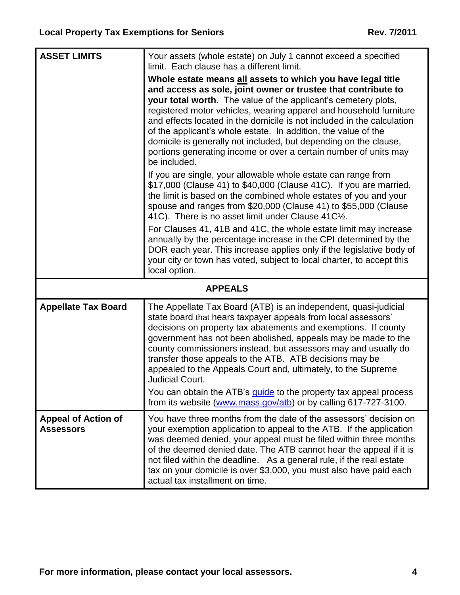$\overline{a}$ 

| <b>ASSET LIMITS</b>                            | Your assets (whole estate) on July 1 cannot exceed a specified<br>limit. Each clause has a different limit.                                                                                                                                                                                                                                                                                                                                                                                                                                                              |  |
|------------------------------------------------|--------------------------------------------------------------------------------------------------------------------------------------------------------------------------------------------------------------------------------------------------------------------------------------------------------------------------------------------------------------------------------------------------------------------------------------------------------------------------------------------------------------------------------------------------------------------------|--|
|                                                | Whole estate means all assets to which you have legal title<br>and access as sole, joint owner or trustee that contribute to<br>your total worth. The value of the applicant's cemetery plots,<br>registered motor vehicles, wearing apparel and household furniture<br>and effects located in the domicile is not included in the calculation<br>of the applicant's whole estate. In addition, the value of the<br>domicile is generally not included, but depending on the clause,<br>portions generating income or over a certain number of units may<br>be included. |  |
|                                                | If you are single, your allowable whole estate can range from<br>\$17,000 (Clause 41) to \$40,000 (Clause 41C). If you are married,<br>the limit is based on the combined whole estates of you and your<br>spouse and ranges from \$20,000 (Clause 41) to \$55,000 (Clause<br>41C). There is no asset limit under Clause 41C1/2.                                                                                                                                                                                                                                         |  |
|                                                | For Clauses 41, 41B and 41C, the whole estate limit may increase<br>annually by the percentage increase in the CPI determined by the<br>DOR each year. This increase applies only if the legislative body of<br>your city or town has voted, subject to local charter, to accept this<br>local option.                                                                                                                                                                                                                                                                   |  |
| <b>APPEALS</b>                                 |                                                                                                                                                                                                                                                                                                                                                                                                                                                                                                                                                                          |  |
| <b>Appellate Tax Board</b>                     | The Appellate Tax Board (ATB) is an independent, quasi-judicial<br>state board that hears taxpayer appeals from local assessors'<br>decisions on property tax abatements and exemptions. If county<br>government has not been abolished, appeals may be made to the<br>county commissioners instead, but assessors may and usually do<br>transfer those appeals to the ATB. ATB decisions may be<br>appealed to the Appeals Court and, ultimately, to the Supreme<br>Judicial Court.                                                                                     |  |
|                                                | You can obtain the ATB's <i>quide</i> to the property tax appeal process<br>from its website (www.mass.gov/atb) or by calling 617-727-3100.                                                                                                                                                                                                                                                                                                                                                                                                                              |  |
| <b>Appeal of Action of</b><br><b>Assessors</b> | You have three months from the date of the assessors' decision on<br>your exemption application to appeal to the ATB. If the application<br>was deemed denied, your appeal must be filed within three months<br>of the deemed denied date. The ATB cannot hear the appeal if it is<br>not filed within the deadline. As a general rule, if the real estate<br>tax on your domicile is over \$3,000, you must also have paid each<br>actual tax installment on time.                                                                                                      |  |